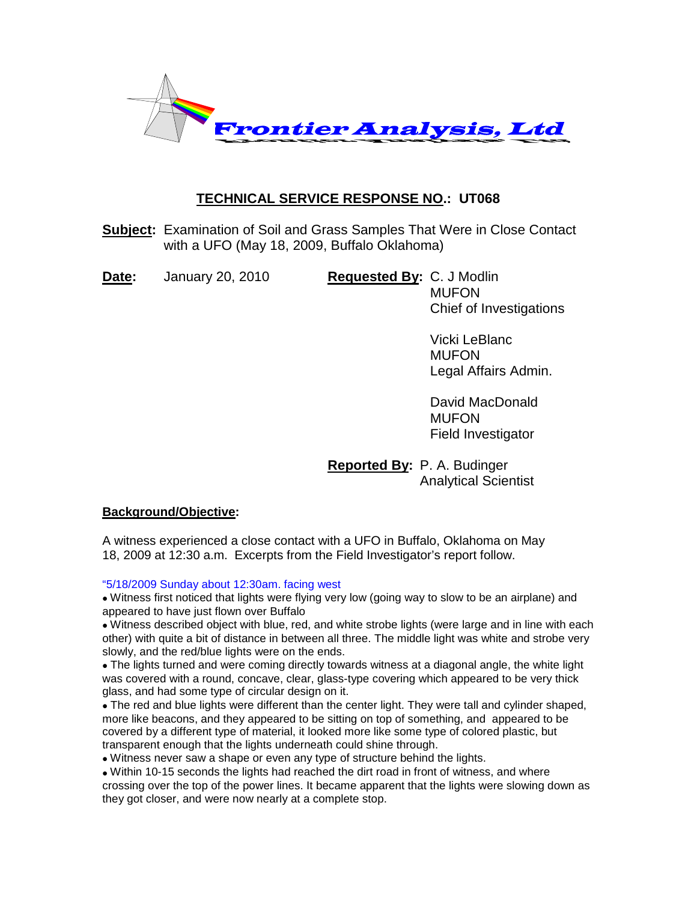

# **TECHNICAL SERVICE RESPONSE NO.: UT068**

**Subject:** Examination of Soil and Grass Samples That Were in Close Contact with a UFO (May 18, 2009, Buffalo Oklahoma)

**Date:** January 20, 2010 **Requested By:** C. J Modlin

**MUFON** Chief of Investigations

> Vicki LeBlanc **MUFON** Legal Affairs Admin.

David MacDonald MUFON Field Investigator

**Reported By:** P. A. Budinger Analytical Scientist

## **Background/Objective:**

A witness experienced a close contact with a UFO in Buffalo, Oklahoma on May 18, 2009 at 12:30 a.m. Excerpts from the Field Investigator's report follow.

"5/18/2009 Sunday about 12:30am. facing west

• Witness first noticed that lights were flying very low (going way to slow to be an airplane) and appeared to have just flown over Buffalo

• Witness described object with blue, red, and white strobe lights (were large and in line with each other) with quite a bit of distance in between all three. The middle light was white and strobe very slowly, and the red/blue lights were on the ends.

• The lights turned and were coming directly towards witness at a diagonal angle, the white light was covered with a round, concave, clear, glass-type covering which appeared to be very thick glass, and had some type of circular design on it.

• The red and blue lights were different than the center light. They were tall and cylinder shaped, more like beacons, and they appeared to be sitting on top of something, and appeared to be covered by a different type of material, it looked more like some type of colored plastic, but transparent enough that the lights underneath could shine through.

• Witness never saw a shape or even any type of structure behind the lights.

• Within 10-15 seconds the lights had reached the dirt road in front of witness, and where crossing over the top of the power lines. It became apparent that the lights were slowing down as they got closer, and were now nearly at a complete stop.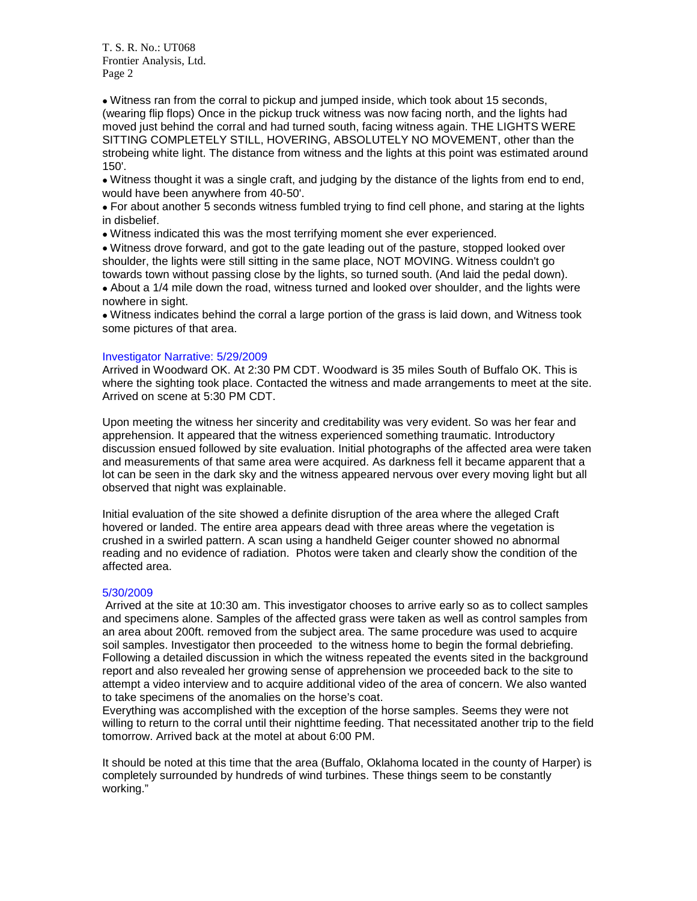• Witness ran from the corral to pickup and jumped inside, which took about 15 seconds, (wearing flip flops) Once in the pickup truck witness was now facing north, and the lights had moved just behind the corral and had turned south, facing witness again. THE LIGHTS WERE SITTING COMPLETELY STILL, HOVERING, ABSOLUTELY NO MOVEMENT, other than the strobeing white light. The distance from witness and the lights at this point was estimated around  $150'$ 

• Witness thought it was a single craft, and judging by the distance of the lights from end to end, would have been anywhere from 40-50'.

• For about another 5 seconds witness fumbled trying to find cell phone, and staring at the lights in disbelief.

• Witness indicated this was the most terrifying moment she ever experienced.

• Witness drove forward, and got to the gate leading out of the pasture, stopped looked over shoulder, the lights were still sitting in the same place, NOT MOVING. Witness couldn't go towards town without passing close by the lights, so turned south. (And laid the pedal down).

• About a 1/4 mile down the road, witness turned and looked over shoulder, and the lights were nowhere in sight.

• Witness indicates behind the corral a large portion of the grass is laid down, and Witness took some pictures of that area.

#### Investigator Narrative: 5/29/2009

Arrived in Woodward OK. At 2:30 PM CDT. Woodward is 35 miles South of Buffalo OK. This is where the sighting took place. Contacted the witness and made arrangements to meet at the site. Arrived on scene at 5:30 PM CDT.

Upon meeting the witness her sincerity and creditability was very evident. So was her fear and apprehension. It appeared that the witness experienced something traumatic. Introductory discussion ensued followed by site evaluation. Initial photographs of the affected area were taken and measurements of that same area were acquired. As darkness fell it became apparent that a lot can be seen in the dark sky and the witness appeared nervous over every moving light but all observed that night was explainable.

Initial evaluation of the site showed a definite disruption of the area where the alleged Craft hovered or landed. The entire area appears dead with three areas where the vegetation is crushed in a swirled pattern. A scan using a handheld Geiger counter showed no abnormal reading and no evidence of radiation. Photos were taken and clearly show the condition of the affected area.

#### 5/30/2009

Arrived at the site at 10:30 am. This investigator chooses to arrive early so as to collect samples and specimens alone. Samples of the affected grass were taken as well as control samples from an area about 200ft. removed from the subject area. The same procedure was used to acquire soil samples. Investigator then proceeded to the witness home to begin the formal debriefing. Following a detailed discussion in which the witness repeated the events sited in the background report and also revealed her growing sense of apprehension we proceeded back to the site to attempt a video interview and to acquire additional video of the area of concern. We also wanted to take specimens of the anomalies on the horse's coat.

Everything was accomplished with the exception of the horse samples. Seems they were not willing to return to the corral until their nighttime feeding. That necessitated another trip to the field tomorrow. Arrived back at the motel at about 6:00 PM.

It should be noted at this time that the area (Buffalo, Oklahoma located in the county of Harper) is completely surrounded by hundreds of wind turbines. These things seem to be constantly working."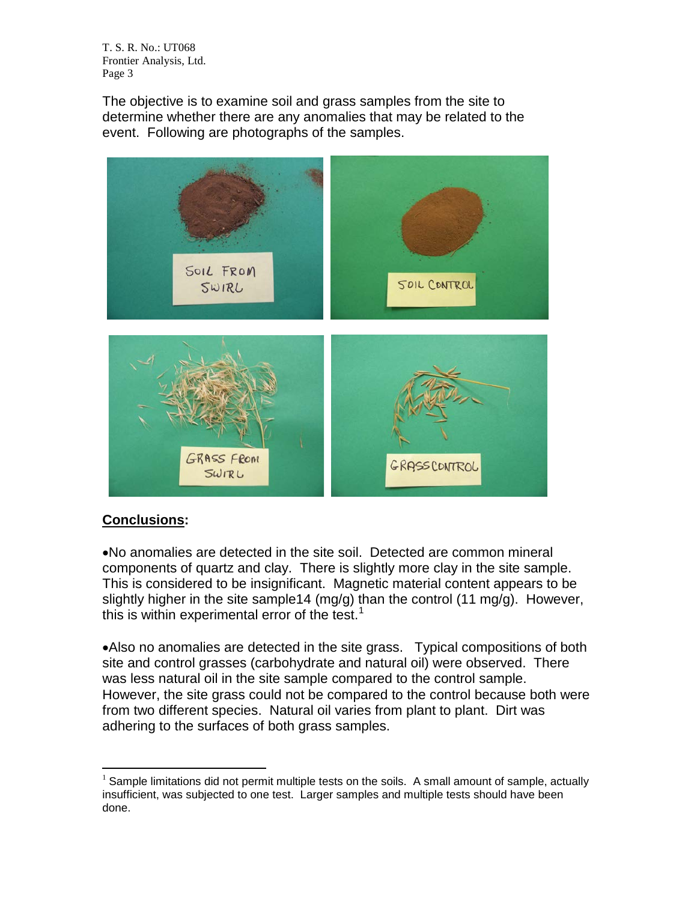The objective is to examine soil and grass samples from the site to determine whether there are any anomalies that may be related to the event. Following are photographs of the samples.



# **Conclusions:**

•No anomalies are detected in the site soil. Detected are common mineral components of quartz and clay. There is slightly more clay in the site sample. This is considered to be insignificant. Magnetic material content appears to be slightly higher in the site sample14 (mg/g) than the control (11 mg/g). However, this is within experimental error of the test.<sup>[1](#page-2-0)</sup>

•Also no anomalies are detected in the site grass. Typical compositions of both site and control grasses (carbohydrate and natural oil) were observed. There was less natural oil in the site sample compared to the control sample. However, the site grass could not be compared to the control because both were from two different species. Natural oil varies from plant to plant. Dirt was adhering to the surfaces of both grass samples.

<span id="page-2-0"></span> $<sup>1</sup>$  Sample limitations did not permit multiple tests on the soils. A small amount of sample, actually</sup> insufficient, was subjected to one test. Larger samples and multiple tests should have been done.  $\overline{a}$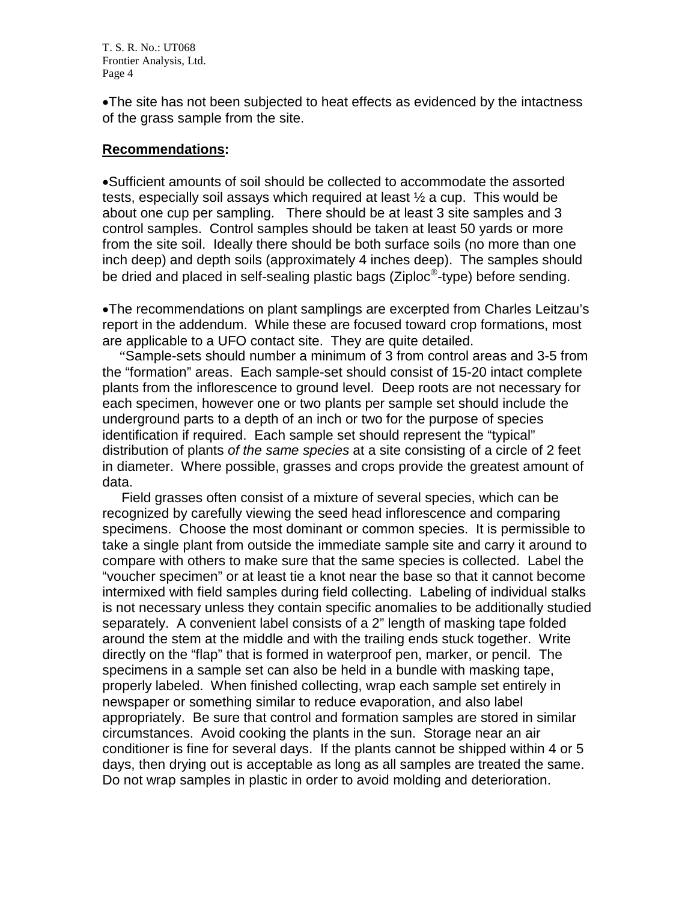•The site has not been subjected to heat effects as evidenced by the intactness of the grass sample from the site.

## **Recommendations:**

•Sufficient amounts of soil should be collected to accommodate the assorted tests, especially soil assays which required at least  $\frac{1}{2}$  a cup. This would be about one cup per sampling. There should be at least 3 site samples and 3 control samples. Control samples should be taken at least 50 yards or more from the site soil. Ideally there should be both surface soils (no more than one inch deep) and depth soils (approximately 4 inches deep). The samples should be dried and placed in self-sealing plastic bags (Ziploc®-type) before sending.

•The recommendations on plant samplings are excerpted from Charles Leitzau's report in the addendum. While these are focused toward crop formations, most are applicable to a UFO contact site. They are quite detailed.

 "Sample-sets should number a minimum of 3 from control areas and 3-5 from the "formation" areas. Each sample-set should consist of 15-20 intact complete plants from the inflorescence to ground level. Deep roots are not necessary for each specimen, however one or two plants per sample set should include the underground parts to a depth of an inch or two for the purpose of species identification if required. Each sample set should represent the "typical" distribution of plants *of the same species* at a site consisting of a circle of 2 feet in diameter. Where possible, grasses and crops provide the greatest amount of data.

 Field grasses often consist of a mixture of several species, which can be recognized by carefully viewing the seed head inflorescence and comparing specimens. Choose the most dominant or common species. It is permissible to take a single plant from outside the immediate sample site and carry it around to compare with others to make sure that the same species is collected. Label the "voucher specimen" or at least tie a knot near the base so that it cannot become intermixed with field samples during field collecting. Labeling of individual stalks is not necessary unless they contain specific anomalies to be additionally studied separately. A convenient label consists of a 2" length of masking tape folded around the stem at the middle and with the trailing ends stuck together. Write directly on the "flap" that is formed in waterproof pen, marker, or pencil. The specimens in a sample set can also be held in a bundle with masking tape, properly labeled. When finished collecting, wrap each sample set entirely in newspaper or something similar to reduce evaporation, and also label appropriately. Be sure that control and formation samples are stored in similar circumstances. Avoid cooking the plants in the sun. Storage near an air conditioner is fine for several days. If the plants cannot be shipped within 4 or 5 days, then drying out is acceptable as long as all samples are treated the same. Do not wrap samples in plastic in order to avoid molding and deterioration.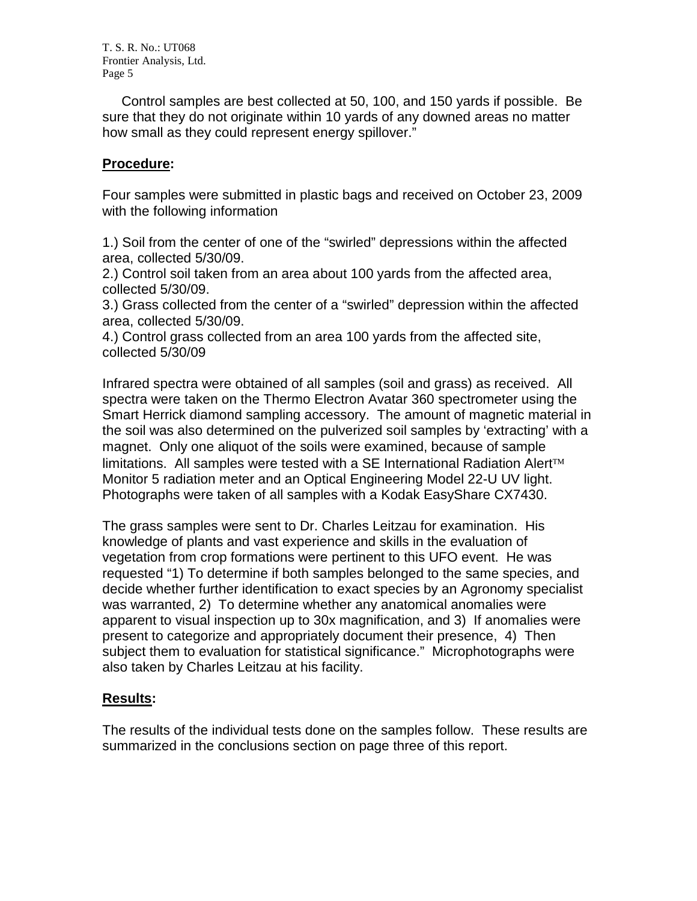Control samples are best collected at 50, 100, and 150 yards if possible. Be sure that they do not originate within 10 yards of any downed areas no matter how small as they could represent energy spillover."

# **Procedure:**

Four samples were submitted in plastic bags and received on October 23, 2009 with the following information

1.) Soil from the center of one of the "swirled" depressions within the affected area, collected 5/30/09.

2.) Control soil taken from an area about 100 yards from the affected area, collected 5/30/09.

3.) Grass collected from the center of a "swirled" depression within the affected area, collected 5/30/09.

4.) Control grass collected from an area 100 yards from the affected site, collected 5/30/09

Infrared spectra were obtained of all samples (soil and grass) as received. All spectra were taken on the Thermo Electron Avatar 360 spectrometer using the Smart Herrick diamond sampling accessory. The amount of magnetic material in the soil was also determined on the pulverized soil samples by 'extracting' with a magnet. Only one aliquot of the soils were examined, because of sample limitations. All samples were tested with a SE International Radiation Alert™ Monitor 5 radiation meter and an Optical Engineering Model 22-U UV light. Photographs were taken of all samples with a Kodak EasyShare CX7430.

The grass samples were sent to Dr. Charles Leitzau for examination. His knowledge of plants and vast experience and skills in the evaluation of vegetation from crop formations were pertinent to this UFO event. He was requested "1) To determine if both samples belonged to the same species, and decide whether further identification to exact species by an Agronomy specialist was warranted, 2) To determine whether any anatomical anomalies were apparent to visual inspection up to 30x magnification, and 3) If anomalies were present to categorize and appropriately document their presence, 4) Then subject them to evaluation for statistical significance." Microphotographs were also taken by Charles Leitzau at his facility.

# **Results:**

The results of the individual tests done on the samples follow. These results are summarized in the conclusions section on page three of this report.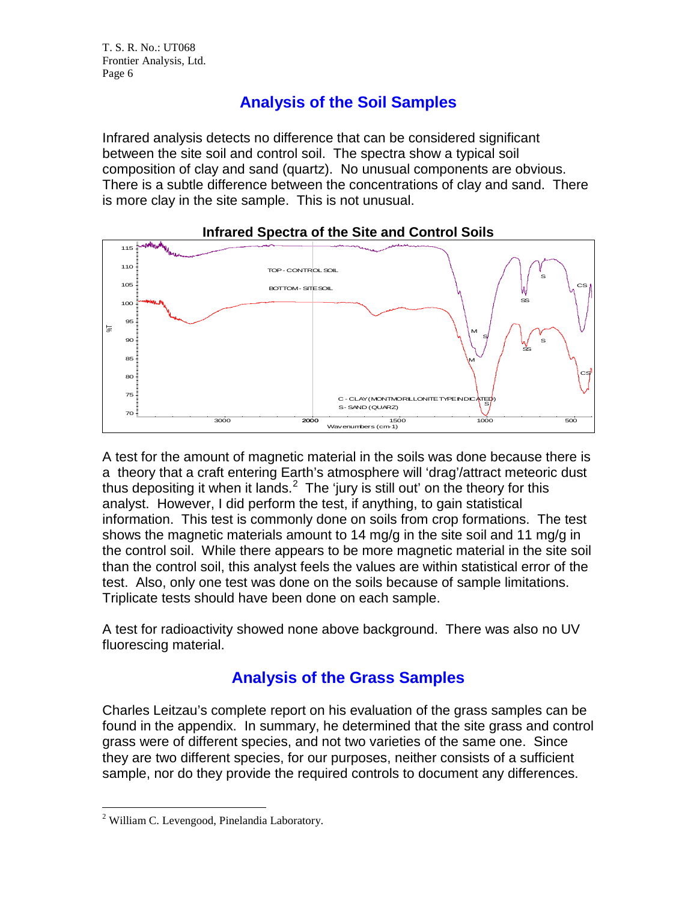# **Analysis of the Soil Samples**

Infrared analysis detects no difference that can be considered significant between the site soil and control soil. The spectra show a typical soil composition of clay and sand (quartz). No unusual components are obvious. There is a subtle difference between the concentrations of clay and sand. There is more clay in the site sample. This is not unusual.



**Infrared Spectra of the Site and Control Soils**

A test for the amount of magnetic material in the soils was done because there is a theory that a craft entering Earth's atmosphere will 'drag'/attract meteoric dust thus depositing it when it lands.<sup>[2](#page-5-0)</sup> The 'jury is still out' on the theory for this analyst. However, I did perform the test, if anything, to gain statistical information. This test is commonly done on soils from crop formations. The test shows the magnetic materials amount to 14 mg/g in the site soil and 11 mg/g in the control soil. While there appears to be more magnetic material in the site soil than the control soil, this analyst feels the values are within statistical error of the test. Also, only one test was done on the soils because of sample limitations. Triplicate tests should have been done on each sample.

A test for radioactivity showed none above background. There was also no UV fluorescing material.

# **Analysis of the Grass Samples**

Charles Leitzau's complete report on his evaluation of the grass samples can be found in the appendix. In summary, he determined that the site grass and control grass were of different species, and not two varieties of the same one. Since they are two different species, for our purposes, neither consists of a sufficient sample, nor do they provide the required controls to document any differences.

 $\overline{a}$ 

<span id="page-5-0"></span><sup>&</sup>lt;sup>2</sup> William C. Levengood, Pinelandia Laboratory.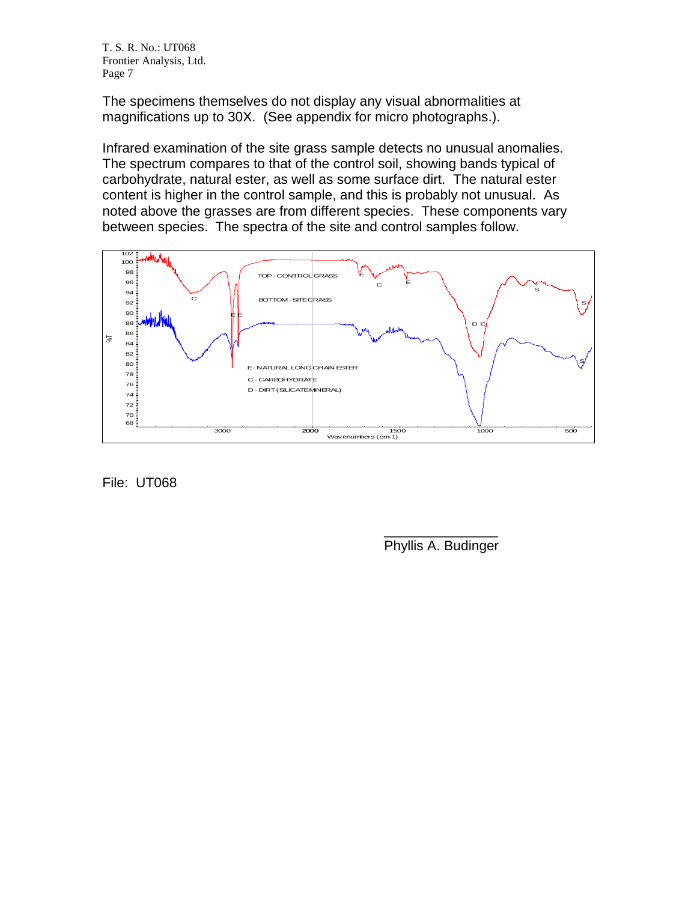The specimens themselves do not display any visual abnormalities at magnifications up to 30X. (See appendix for micro photographs.).

Infrared examination of the site grass sample detects no unusual anomalies. The spectrum compares to that of the control soil, showing bands typical of carbohydrate, natural ester, as well as some surface dirt. The natural ester content is higher in the control sample, and this is probably not unusual. As noted above the grasses are from different species. These components vary between species. The spectra of the site and control samples follow.



File: UT068

 $\overline{\phantom{a}}$  , where  $\overline{\phantom{a}}$ Phyllis A. Budinger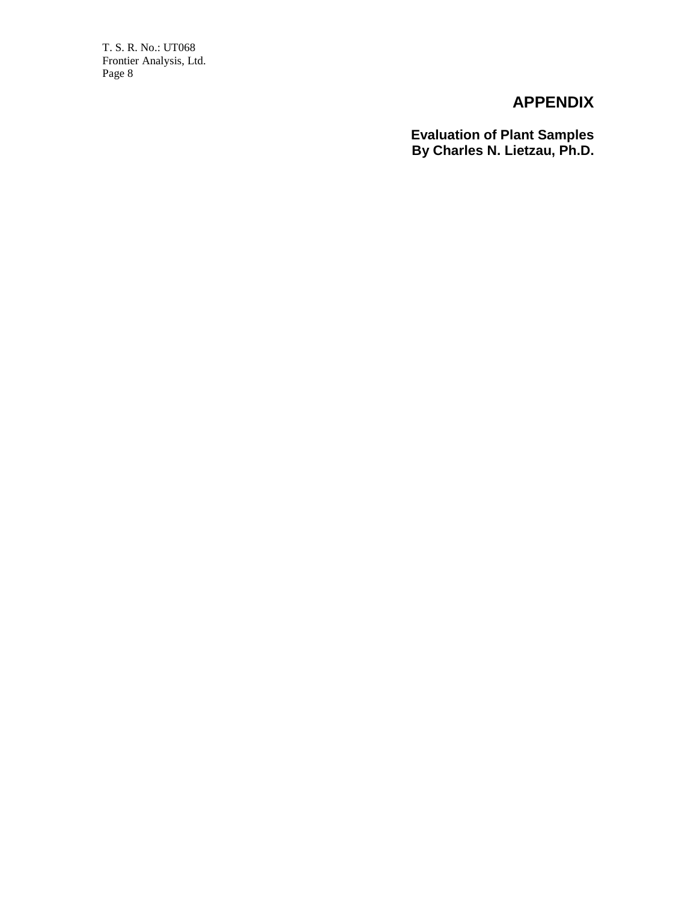# **APPENDIX**

**Evaluation of Plant Samples By Charles N. Lietzau, Ph.D.**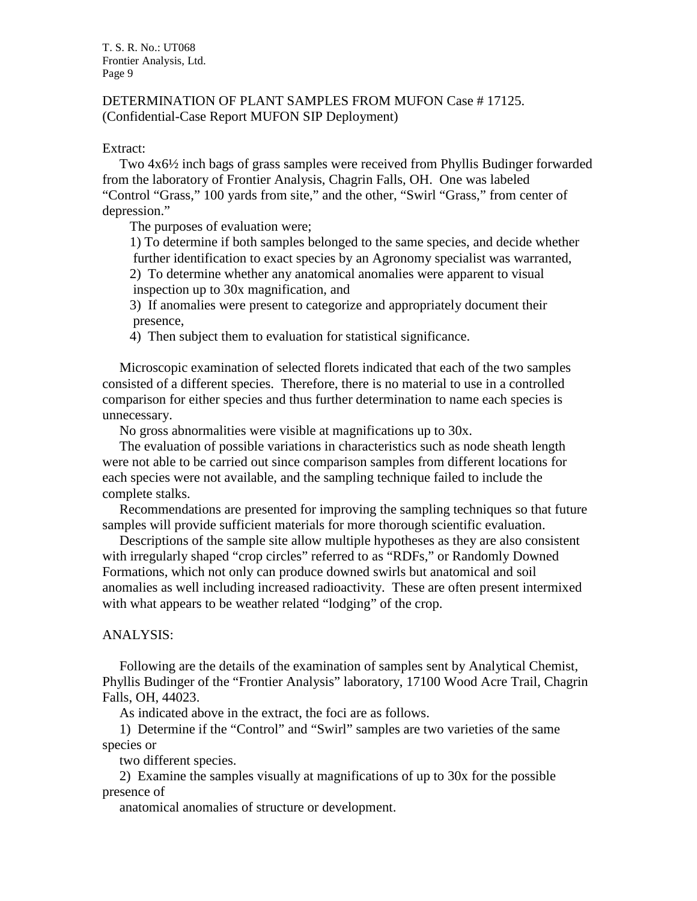## DETERMINATION OF PLANT SAMPLES FROM MUFON Case # 17125. (Confidential-Case Report MUFON SIP Deployment)

## Extract:

 Two 4x6½ inch bags of grass samples were received from Phyllis Budinger forwarded from the laboratory of Frontier Analysis, Chagrin Falls, OH. One was labeled "Control "Grass," 100 yards from site," and the other, "Swirl "Grass," from center of depression."

The purposes of evaluation were;

 1) To determine if both samples belonged to the same species, and decide whether further identification to exact species by an Agronomy specialist was warranted,

 2) To determine whether any anatomical anomalies were apparent to visual inspection up to 30x magnification, and

 3) If anomalies were present to categorize and appropriately document their presence,

4) Then subject them to evaluation for statistical significance.

 Microscopic examination of selected florets indicated that each of the two samples consisted of a different species. Therefore, there is no material to use in a controlled comparison for either species and thus further determination to name each species is unnecessary.

No gross abnormalities were visible at magnifications up to 30x.

 The evaluation of possible variations in characteristics such as node sheath length were not able to be carried out since comparison samples from different locations for each species were not available, and the sampling technique failed to include the complete stalks.

 Recommendations are presented for improving the sampling techniques so that future samples will provide sufficient materials for more thorough scientific evaluation.

 Descriptions of the sample site allow multiple hypotheses as they are also consistent with irregularly shaped "crop circles" referred to as "RDFs," or Randomly Downed Formations, which not only can produce downed swirls but anatomical and soil anomalies as well including increased radioactivity. These are often present intermixed with what appears to be weather related "lodging" of the crop.

## ANALYSIS:

 Following are the details of the examination of samples sent by Analytical Chemist, Phyllis Budinger of the "Frontier Analysis" laboratory, 17100 Wood Acre Trail, Chagrin Falls, OH, 44023.

As indicated above in the extract, the foci are as follows.

 1) Determine if the "Control" and "Swirl" samples are two varieties of the same species or

two different species.

 2) Examine the samples visually at magnifications of up to 30x for the possible presence of

anatomical anomalies of structure or development.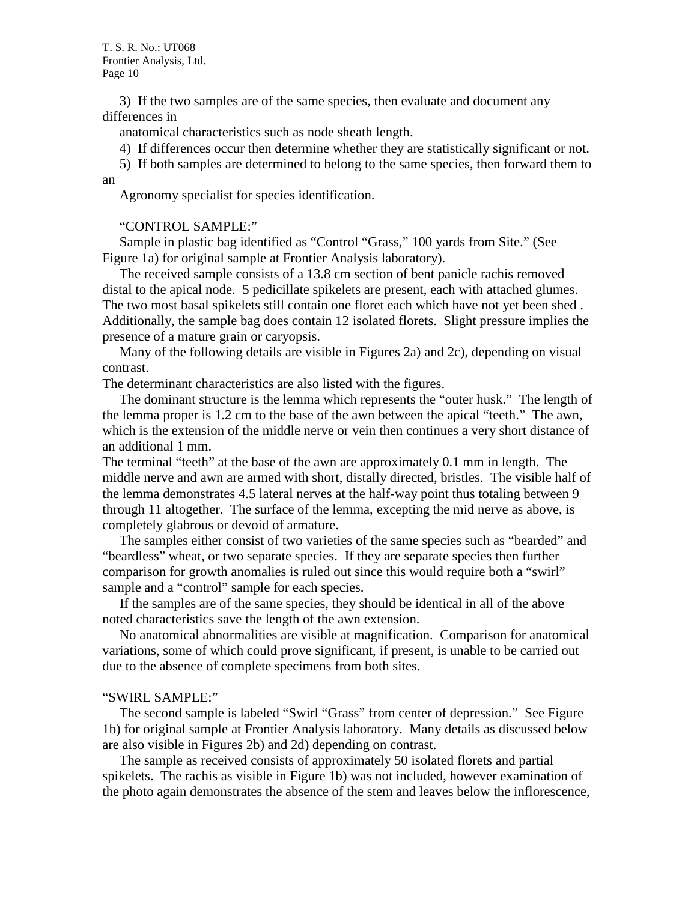3) If the two samples are of the same species, then evaluate and document any differences in

anatomical characteristics such as node sheath length.

4) If differences occur then determine whether they are statistically significant or not.

 5) If both samples are determined to belong to the same species, then forward them to an

Agronomy specialist for species identification.

## "CONTROL SAMPLE:"

 Sample in plastic bag identified as "Control "Grass," 100 yards from Site." (See Figure 1a) for original sample at Frontier Analysis laboratory).

 The received sample consists of a 13.8 cm section of bent panicle rachis removed distal to the apical node. 5 pedicillate spikelets are present, each with attached glumes. The two most basal spikelets still contain one floret each which have not yet been shed . Additionally, the sample bag does contain 12 isolated florets. Slight pressure implies the presence of a mature grain or caryopsis.

 Many of the following details are visible in Figures 2a) and 2c), depending on visual contrast.

The determinant characteristics are also listed with the figures.

 The dominant structure is the lemma which represents the "outer husk." The length of the lemma proper is 1.2 cm to the base of the awn between the apical "teeth." The awn, which is the extension of the middle nerve or vein then continues a very short distance of an additional 1 mm.

The terminal "teeth" at the base of the awn are approximately 0.1 mm in length. The middle nerve and awn are armed with short, distally directed, bristles. The visible half of the lemma demonstrates 4.5 lateral nerves at the half-way point thus totaling between 9 through 11 altogether. The surface of the lemma, excepting the mid nerve as above, is completely glabrous or devoid of armature.

 The samples either consist of two varieties of the same species such as "bearded" and "beardless" wheat, or two separate species. If they are separate species then further comparison for growth anomalies is ruled out since this would require both a "swirl" sample and a "control" sample for each species.

 If the samples are of the same species, they should be identical in all of the above noted characteristics save the length of the awn extension.

 No anatomical abnormalities are visible at magnification. Comparison for anatomical variations, some of which could prove significant, if present, is unable to be carried out due to the absence of complete specimens from both sites.

#### "SWIRL SAMPLE:"

 The second sample is labeled "Swirl "Grass" from center of depression." See Figure 1b) for original sample at Frontier Analysis laboratory. Many details as discussed below are also visible in Figures 2b) and 2d) depending on contrast.

 The sample as received consists of approximately 50 isolated florets and partial spikelets. The rachis as visible in Figure 1b) was not included, however examination of the photo again demonstrates the absence of the stem and leaves below the inflorescence,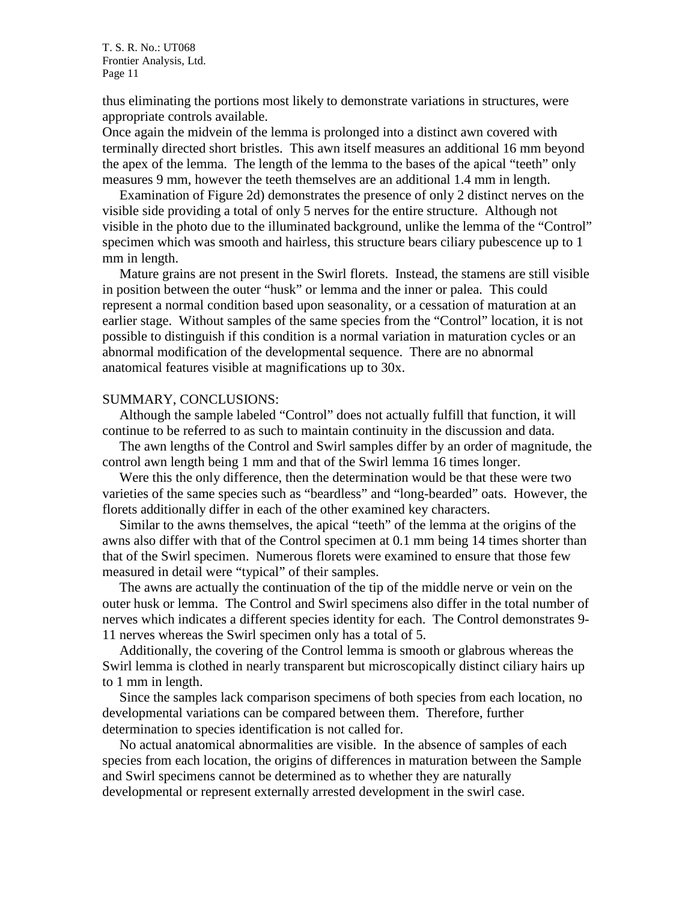thus eliminating the portions most likely to demonstrate variations in structures, were appropriate controls available.

Once again the midvein of the lemma is prolonged into a distinct awn covered with terminally directed short bristles. This awn itself measures an additional 16 mm beyond the apex of the lemma. The length of the lemma to the bases of the apical "teeth" only measures 9 mm, however the teeth themselves are an additional 1.4 mm in length.

 Examination of Figure 2d) demonstrates the presence of only 2 distinct nerves on the visible side providing a total of only 5 nerves for the entire structure. Although not visible in the photo due to the illuminated background, unlike the lemma of the "Control" specimen which was smooth and hairless, this structure bears ciliary pubescence up to 1 mm in length.

 Mature grains are not present in the Swirl florets. Instead, the stamens are still visible in position between the outer "husk" or lemma and the inner or palea. This could represent a normal condition based upon seasonality, or a cessation of maturation at an earlier stage. Without samples of the same species from the "Control" location, it is not possible to distinguish if this condition is a normal variation in maturation cycles or an abnormal modification of the developmental sequence. There are no abnormal anatomical features visible at magnifications up to 30x.

#### SUMMARY, CONCLUSIONS:

 Although the sample labeled "Control" does not actually fulfill that function, it will continue to be referred to as such to maintain continuity in the discussion and data.

 The awn lengths of the Control and Swirl samples differ by an order of magnitude, the control awn length being 1 mm and that of the Swirl lemma 16 times longer.

 Were this the only difference, then the determination would be that these were two varieties of the same species such as "beardless" and "long-bearded" oats. However, the florets additionally differ in each of the other examined key characters.

 Similar to the awns themselves, the apical "teeth" of the lemma at the origins of the awns also differ with that of the Control specimen at 0.1 mm being 14 times shorter than that of the Swirl specimen. Numerous florets were examined to ensure that those few measured in detail were "typical" of their samples.

 The awns are actually the continuation of the tip of the middle nerve or vein on the outer husk or lemma. The Control and Swirl specimens also differ in the total number of nerves which indicates a different species identity for each. The Control demonstrates 9- 11 nerves whereas the Swirl specimen only has a total of 5.

 Additionally, the covering of the Control lemma is smooth or glabrous whereas the Swirl lemma is clothed in nearly transparent but microscopically distinct ciliary hairs up to 1 mm in length.

 Since the samples lack comparison specimens of both species from each location, no developmental variations can be compared between them. Therefore, further determination to species identification is not called for.

 No actual anatomical abnormalities are visible. In the absence of samples of each species from each location, the origins of differences in maturation between the Sample and Swirl specimens cannot be determined as to whether they are naturally developmental or represent externally arrested development in the swirl case.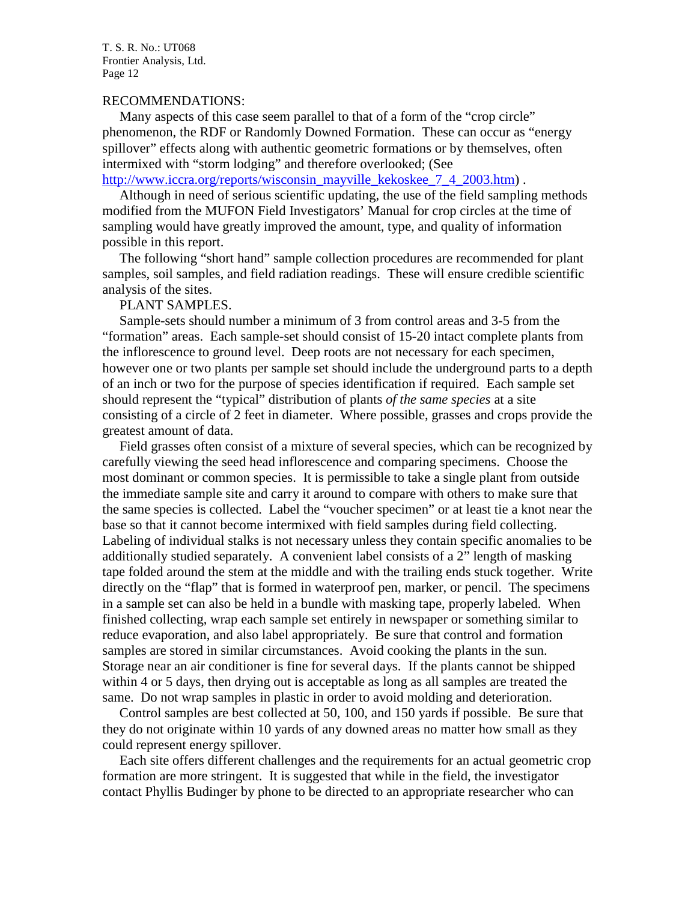### RECOMMENDATIONS:

 Many aspects of this case seem parallel to that of a form of the "crop circle" phenomenon, the RDF or Randomly Downed Formation. These can occur as "energy spillover" effects along with authentic geometric formations or by themselves, often intermixed with "storm lodging" and therefore overlooked; (See

[http://www.iccra.org/reports/wisconsin\\_mayville\\_kekoskee\\_7\\_4\\_2003.htm\)](http://www.iccra.org/reports/wisconsin_mayville_kekoskee_7_4_2003.htm).

 Although in need of serious scientific updating, the use of the field sampling methods modified from the MUFON Field Investigators' Manual for crop circles at the time of sampling would have greatly improved the amount, type, and quality of information possible in this report.

 The following "short hand" sample collection procedures are recommended for plant samples, soil samples, and field radiation readings. These will ensure credible scientific analysis of the sites.

#### PLANT SAMPLES.

 Sample-sets should number a minimum of 3 from control areas and 3-5 from the "formation" areas. Each sample-set should consist of 15-20 intact complete plants from the inflorescence to ground level. Deep roots are not necessary for each specimen, however one or two plants per sample set should include the underground parts to a depth of an inch or two for the purpose of species identification if required. Each sample set should represent the "typical" distribution of plants *of the same species* at a site consisting of a circle of 2 feet in diameter. Where possible, grasses and crops provide the greatest amount of data.

 Field grasses often consist of a mixture of several species, which can be recognized by carefully viewing the seed head inflorescence and comparing specimens. Choose the most dominant or common species. It is permissible to take a single plant from outside the immediate sample site and carry it around to compare with others to make sure that the same species is collected. Label the "voucher specimen" or at least tie a knot near the base so that it cannot become intermixed with field samples during field collecting. Labeling of individual stalks is not necessary unless they contain specific anomalies to be additionally studied separately. A convenient label consists of a 2" length of masking tape folded around the stem at the middle and with the trailing ends stuck together. Write directly on the "flap" that is formed in waterproof pen, marker, or pencil. The specimens in a sample set can also be held in a bundle with masking tape, properly labeled. When finished collecting, wrap each sample set entirely in newspaper or something similar to reduce evaporation, and also label appropriately. Be sure that control and formation samples are stored in similar circumstances. Avoid cooking the plants in the sun. Storage near an air conditioner is fine for several days. If the plants cannot be shipped within 4 or 5 days, then drying out is acceptable as long as all samples are treated the same. Do not wrap samples in plastic in order to avoid molding and deterioration.

 Control samples are best collected at 50, 100, and 150 yards if possible. Be sure that they do not originate within 10 yards of any downed areas no matter how small as they could represent energy spillover.

 Each site offers different challenges and the requirements for an actual geometric crop formation are more stringent. It is suggested that while in the field, the investigator contact Phyllis Budinger by phone to be directed to an appropriate researcher who can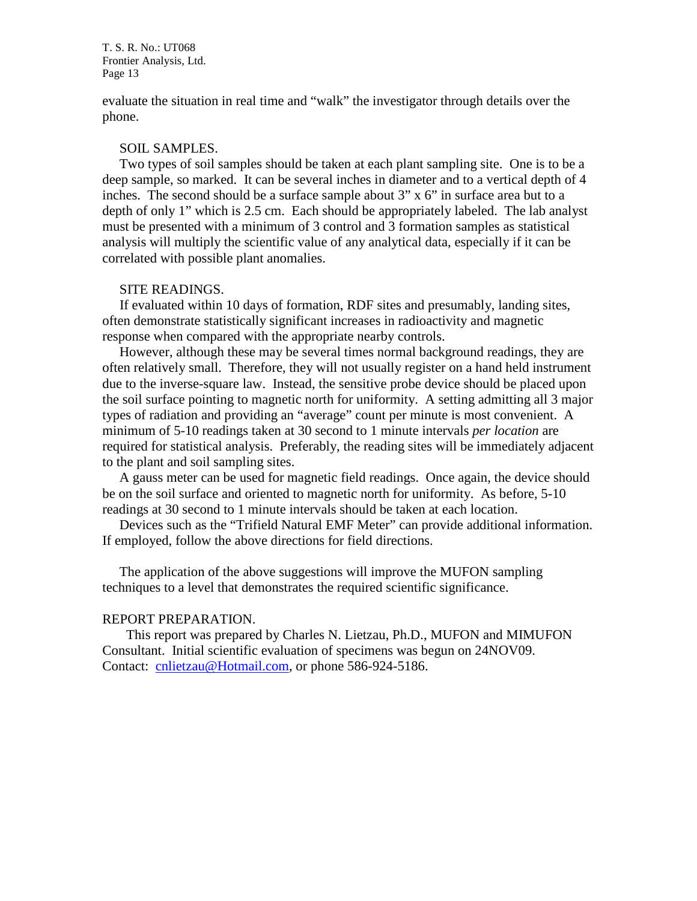evaluate the situation in real time and "walk" the investigator through details over the phone.

#### SOIL SAMPLES.

 Two types of soil samples should be taken at each plant sampling site. One is to be a deep sample, so marked. It can be several inches in diameter and to a vertical depth of 4 inches. The second should be a surface sample about 3" x 6" in surface area but to a depth of only 1" which is 2.5 cm. Each should be appropriately labeled. The lab analyst must be presented with a minimum of 3 control and 3 formation samples as statistical analysis will multiply the scientific value of any analytical data, especially if it can be correlated with possible plant anomalies.

### SITE READINGS.

 If evaluated within 10 days of formation, RDF sites and presumably, landing sites, often demonstrate statistically significant increases in radioactivity and magnetic response when compared with the appropriate nearby controls.

 However, although these may be several times normal background readings, they are often relatively small. Therefore, they will not usually register on a hand held instrument due to the inverse-square law. Instead, the sensitive probe device should be placed upon the soil surface pointing to magnetic north for uniformity. A setting admitting all 3 major types of radiation and providing an "average" count per minute is most convenient. A minimum of 5-10 readings taken at 30 second to 1 minute intervals *per location* are required for statistical analysis. Preferably, the reading sites will be immediately adjacent to the plant and soil sampling sites.

 A gauss meter can be used for magnetic field readings. Once again, the device should be on the soil surface and oriented to magnetic north for uniformity. As before, 5-10 readings at 30 second to 1 minute intervals should be taken at each location.

 Devices such as the "Trifield Natural EMF Meter" can provide additional information. If employed, follow the above directions for field directions.

 The application of the above suggestions will improve the MUFON sampling techniques to a level that demonstrates the required scientific significance.

#### REPORT PREPARATION.

 This report was prepared by Charles N. Lietzau, Ph.D., MUFON and MIMUFON Consultant. Initial scientific evaluation of specimens was begun on 24NOV09. Contact: [cnlietzau@Hotmail.com,](mailto:cnlietzau@Hotmail.com) or phone 586-924-5186.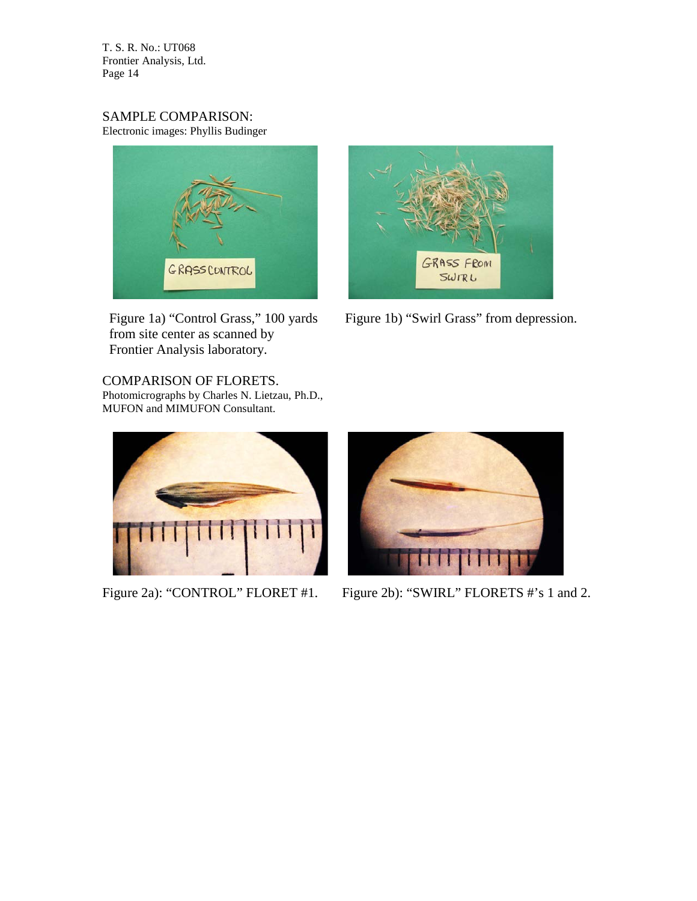SAMPLE COMPARISON: Electronic images: Phyllis Budinger



 from site center as scanned by Frontier Analysis laboratory.

COMPARISON OF FLORETS. Photomicrographs by Charles N. Lietzau, Ph.D., MUFON and MIMUFON Consultant.





Figure 1a) "Control Grass," 100 yards Figure 1b) "Swirl Grass" from depression.



Figure 2a): "CONTROL" FLORET #1. Figure 2b): "SWIRL" FLORETS #'s 1 and 2.